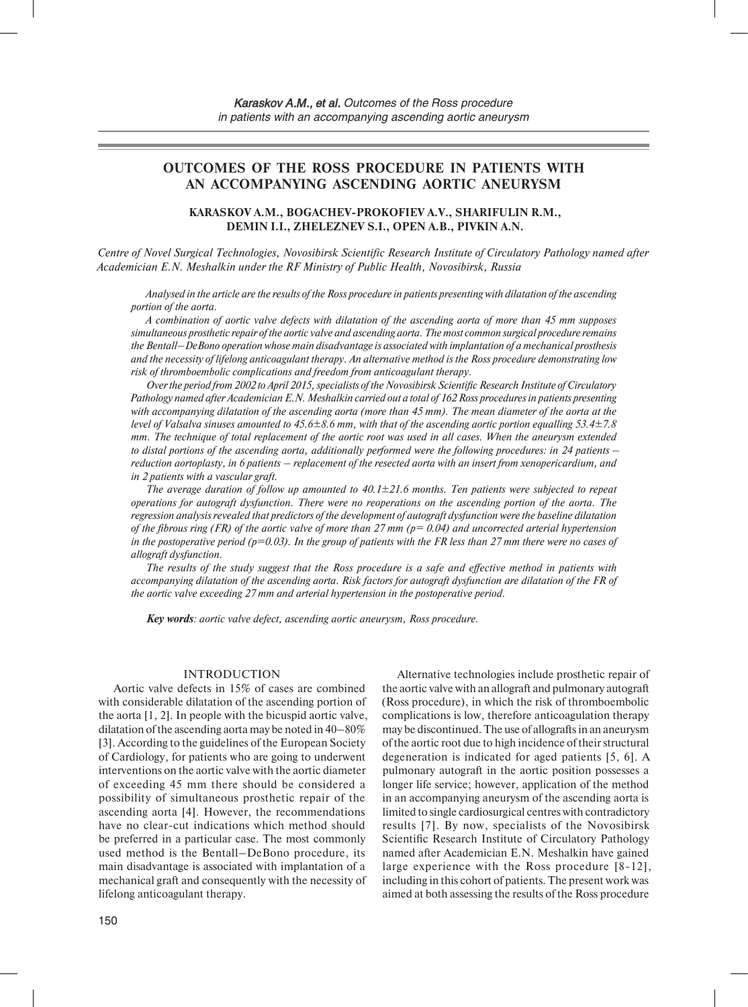# **OUTCOMES OF THE ROSS PROCEDURE IN PATIENTS WITH AN ACCOMPANYING ASCENDING AORTIC ANEURYSM**

## **KARASKOV A.M., BOGACHEV-PROKOFIEV A.V., SHARIFULIN R.M., DEMIN I.I., ZHELEZNEV S.I., OPEN A.B., PIVKIN A.N.**

*Centre of Novel Surgical Technologies, Novosibirsk Scientific Research Institute of Circulatory Pathology named after Academician E.N. Meshalkin under the RF Ministry of Public Health, Novosibirsk, Russia*

*Analysed in the article are the results of the Ross procedure in patients presenting with dilatation of the ascending portion of the aorta.*

*A combination of aortic valve defects with dilatation of the ascending aorta of more than 45 mm supposes simultaneous prosthetic repair of the aortic valve and ascending aorta. The most common surgical procedure remains the Bentall–DeBono operation whose main disadvantage is associated with implantation of a mechanical prosthesis and the necessity of lifelong anticoagulant therapy. An alternative method is the Ross procedure demonstrating low risk of thromboembolic complications and freedom from anticoagulant therapy.*

*Over the period from 2002 to April 2015, specialists of the Novosibirsk Scientific Research Institute of Circulatory Pathology named after Academician E.N. Meshalkin carried out a total of 162 Ross procedures in patients presenting with accompanying dilatation of the ascending aorta (more than 45 mm). The mean diameter of the aorta at the level of Valsalva sinuses amounted to 45.6±8.6 mm, with that of the ascending aortic portion equalling 53.4±7.8 mm. The technique of total replacement of the aortic root was used in all cases. When the aneurysm extended to distal portions of the ascending aorta, additionally performed were the following procedures: in 24 patients – reduction aortoplasty, in 6 patients – replacement of the resected aorta with an insert from xenopericardium, and in 2 patients with a vascular graft.*

*The average duration of follow up amounted to 40.1±21.6 months. Ten patients were subjected to repeat operations for autograft dysfunction. There were no reoperations on the ascending portion of the aorta. The regression analysis revealed that predictors of the development of autograft dysfunction were the baseline dilatation of the fibrous ring (FR) of the aortic valve of more than 27 mm (p= 0.04) and uncorrected arterial hypertension in the postoperative period (p=0.03). In the group of patients with the FR less than 27 mm there were no cases of allograft dysfunction.*

*The results of the study suggest that the Ross procedure is a safe and effective method in patients with accompanying dilatation of the ascending aorta. Risk factors for autograft dysfunction are dilatation of the FR of the aortic valve exceeding 27 mm and arterial hypertension in the postoperative period.*

*Key words: aortic valve defect, ascending aortic aneurysm, Ross procedure.*

### INTRODUCTION

Aortic valve defects in 15% of cases are combined with considerable dilatation of the ascending portion of the aorta [1, 2]. In people with the bicuspid aortic valve, dilatation of the ascending aorta may be noted in 40–80% [3]. According to the guidelines of the European Society of Cardiology, for patients who are going to underwent interventions on the aortic valve with the aortic diameter of exceeding 45 mm there should be considered a possibility of simultaneous prosthetic repair of the ascending aorta [4]. However, the recommendations have no clear-cut indications which method should be preferred in a particular case. The most commonly used method is the Bentall–DeBono procedure, its main disadvantage is associated with implantation of a mechanical graft and consequently with the necessity of lifelong anticoagulant therapy.

Alternative technologies include prosthetic repair of the aortic valve with an allograft and pulmonary autograft (Ross procedure), in which the risk of thromboembolic complications is low, therefore anticoagulation therapy may be discontinued. The use of allografts in an aneurysm of the aortic root due to high incidence of their structural degeneration is indicated for aged patients [5, 6]. A pulmonary autograft in the aortic position possesses a longer life service; however, application of the method in an accompanying aneurysm of the ascending aorta is limited to single cardiosurgical centres with contradictory results [7]. By now, specialists of the Novosibirsk Scientific Research Institute of Circulatory Pathology named after Academician E.N. Meshalkin have gained large experience with the Ross procedure [8-12], including in this cohort of patients. The present work was aimed at both assessing the results of the Ross procedure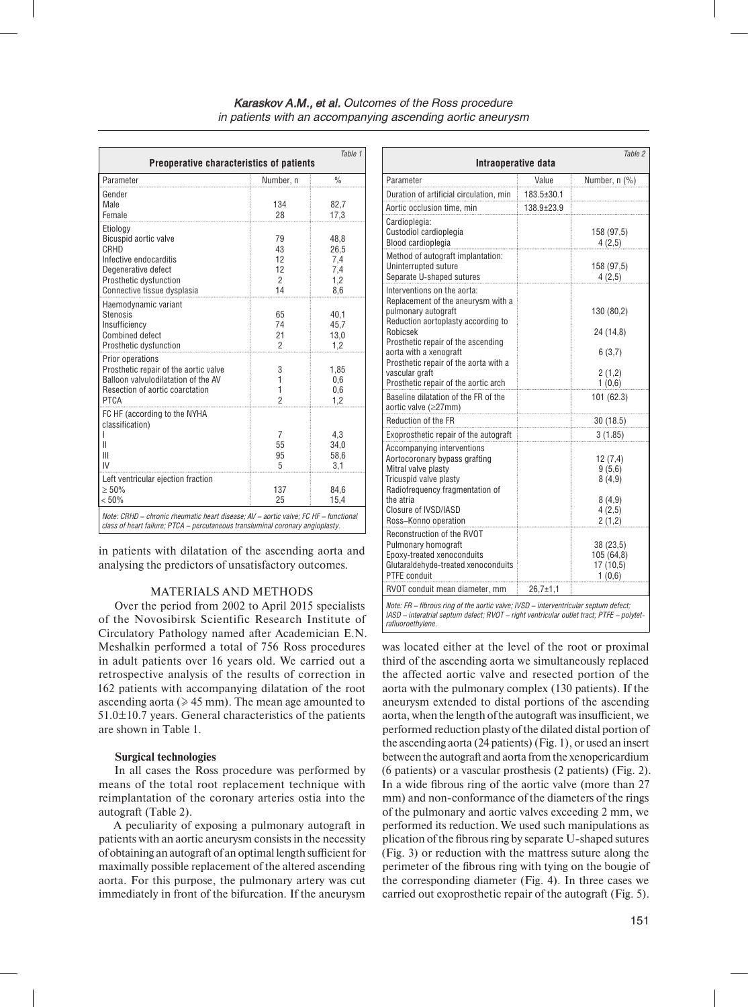| Table 1<br>Preoperative characteristics of patients                                                                                                                   |                                              |                                          |  |  |  |
|-----------------------------------------------------------------------------------------------------------------------------------------------------------------------|----------------------------------------------|------------------------------------------|--|--|--|
| Parameter                                                                                                                                                             | Number, n                                    | $\frac{0}{0}$                            |  |  |  |
| Gender<br>Male<br>Female                                                                                                                                              | 134<br>28                                    | 82,7<br>17,3                             |  |  |  |
| Etiology<br>Bicuspid aortic valve<br>CRHD<br>Infective endocarditis<br>Degenerative defect<br>Prosthetic dysfunction<br>Connective tissue dysplasia                   | 79<br>43<br>12<br>12<br>$\mathfrak{p}$<br>14 | 48,8<br>26,5<br>7,4<br>7,4<br>1,2<br>8.6 |  |  |  |
| Haemodynamic variant<br><b>Stenosis</b><br>Insufficiency<br><b>Combined defect</b><br>Prosthetic dysfunction                                                          | 65<br>74<br>21<br>$\overline{2}$             | 40,1<br>45.7<br>13,0<br>1,2              |  |  |  |
| Prior operations<br>Prosthetic repair of the aortic valve<br>Balloon valvulodilatation of the AV<br>Resection of aortic coarctation<br><b>PTCA</b>                    | 3<br>1<br>1<br>$\overline{2}$                | 1,85<br>0,6<br>0,6<br>1,2                |  |  |  |
| FC HF (according to the NYHA<br>classification)<br>Ш<br>Ш<br>IV                                                                                                       | 7<br>55<br>95<br>5                           | 4,3<br>34,0<br>58,6<br>3,1               |  |  |  |
| Left ventricular ejection fraction<br>> 50%<br>$< 50\%$                                                                                                               | 137<br>25                                    | 84.6<br>15,4                             |  |  |  |
| Note: CRHD - chronic rheumatic heart disease; AV - aortic valve; FC HF - functional<br>class of heart failure; PTCA - percutaneous transluminal coronary angioplasty. |                                              |                                          |  |  |  |

in patients with dilatation of the ascending aorta and analysing the predictors of unsatisfactory outcomes.

### MATERIALS AND METHODS

Over the period from 2002 to April 2015 specialists of the Novosibirsk Scientific Research Institute of Circulatory Pathology named after Academician E.N. Meshalkin performed a total of 756 Ross procedures in adult patients over 16 years old. We carried out a retrospective analysis of the results of correction in 162 patients with accompanying dilatation of the root ascending aorta ( $\geq 45$  mm). The mean age amounted to 51.0±10.7 years. General characteristics of the patients are shown in Table 1.

#### **Surgical technologies**

In all cases the Ross procedure was performed by means of the total root replacement technique with reimplantation of the coronary arteries ostia into the autograft (Table 2).

A peculiarity of exposing a pulmonary autograft in patients with an aortic aneurysm consists in the necessity of obtaining an autograft of an optimal length sufficient for maximally possible replacement of the altered ascending aorta. For this purpose, the pulmonary artery was cut immediately in front of the bifurcation. If the aneurysm

| Intraoperative data                                                                                                                                                              |            | Table 2                                      |
|----------------------------------------------------------------------------------------------------------------------------------------------------------------------------------|------------|----------------------------------------------|
| Parameter                                                                                                                                                                        | Value      | Number, n (%)                                |
| Duration of artificial circulation, min                                                                                                                                          | 183.5±30.1 |                                              |
| Aortic occlusion time, min                                                                                                                                                       | 138.9±23.9 |                                              |
| Cardioplegia:<br>Custodiol cardioplegia<br>Blood cardioplegia                                                                                                                    |            | 158 (97,5)<br>4(2,5)                         |
| Method of autograft implantation:<br>Uninterrupted suture<br>Separate U-shaped sutures                                                                                           |            | 158 (97,5)<br>4(2,5)                         |
| Interventions on the aorta:<br>Replacement of the aneurysm with a<br>pulmonary autograft<br>Reduction aortoplasty according to<br>Robicsek<br>Prosthetic repair of the ascending |            | 130 (80,2)<br>24 (14,8)                      |
| aorta with a xenograft<br>Prosthetic repair of the aorta with a<br>vascular graft<br>Prosthetic repair of the aortic arch                                                        |            | 6(3,7)<br>2(1,2)<br>1(0,6)                   |
| Baseline dilatation of the FR of the<br>aortic valve (≥27mm)                                                                                                                     |            | 101 (62.3)                                   |
| Reduction of the FR                                                                                                                                                              |            | 30 (18.5)                                    |
| Exoprosthetic repair of the autograft                                                                                                                                            |            | 3(1.85)                                      |
| Accompanying interventions<br>Aortocoronary bypass grafting<br>Mitral valve plasty<br>Tricuspid valve plasty<br>Radiofrequency fragmentation of                                  |            | 12(7,4)<br>9(5,6)<br>8(4,9)                  |
| the atria<br>Closure of IVSD/IASD<br>Ross-Konno operation                                                                                                                        |            | 8(4,9)<br>4(2,5)<br>2(1,2)                   |
| Reconstruction of the RVOT<br>Pulmonary homograft<br>Epoxy-treated xenoconduits<br>Glutaraldehyde-treated xenoconduits<br>PTFE conduit                                           |            | 38 (23,5)<br>105(64,8)<br>17(10,5)<br>1(0,6) |
| RVOT conduit mean diameter, mm                                                                                                                                                   | 26,7±1,1   |                                              |

*Note: FR – fibrous ring of the aortic valve; IVSD – interventricular septum defect; IASD – interatrial septum defect; RVOT – right ventricular outlet tract; PTFE – polytetrafluoroethylene.*

was located either at the level of the root or proximal third of the ascending aorta we simultaneously replaced the affected aortic valve and resected portion of the aorta with the pulmonary complex (130 patients). If the aneurysm extended to distal portions of the ascending aorta, when the length of the autograft was insufficient, we performed reduction plasty of the dilated distal portion of the ascending aorta (24 patients) (Fig. 1), or used an insert between the autograft and aorta from the xenopericardium (6 patients) or a vascular prosthesis (2 patients) (Fig. 2). In a wide fibrous ring of the aortic valve (more than 27 mm) and non-conformance of the diameters of the rings of the pulmonary and aortic valves exceeding 2 mm, we performed its reduction. We used such manipulations as plication of the fibrous ring by separate U-shaped sutures (Fig. 3) or reduction with the mattress suture along the perimeter of the fibrous ring with tying on the bougie of the corresponding diameter (Fig. 4). In three cases we carried out exoprosthetic repair of the autograft (Fig. 5).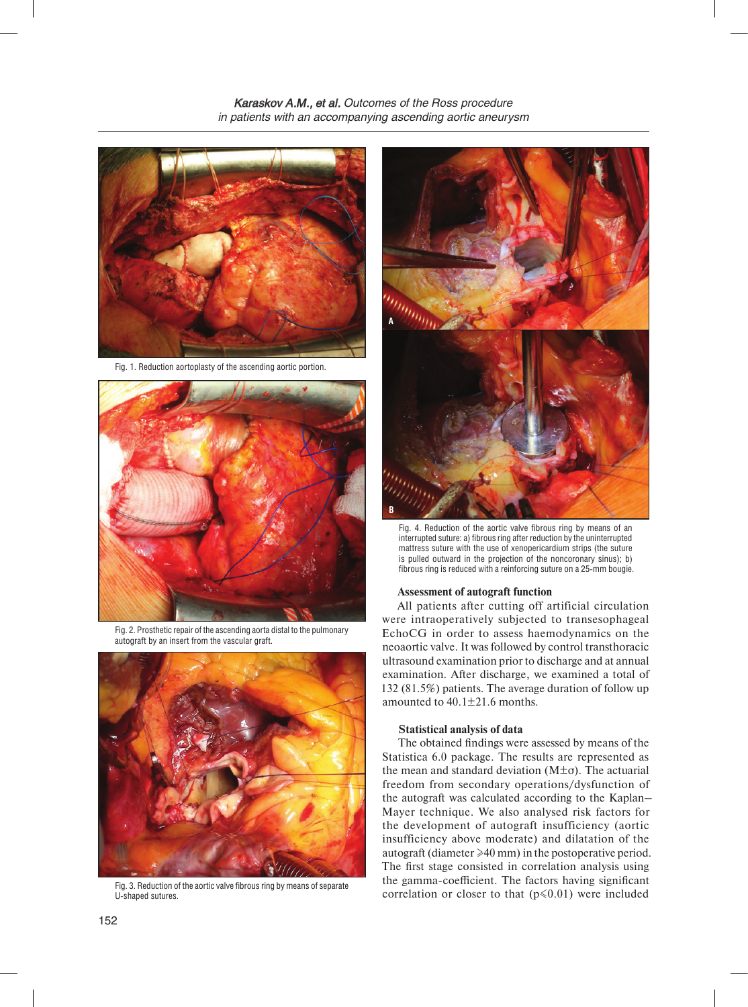

Fig. 1. Reduction aortoplasty of the ascending aortic portion.



Fig. 2. Prosthetic repair of the ascending aorta distal to the pulmonary autograft by an insert from the vascular graft.



Fig. 3. Reduction of the aortic valve fibrous ring by means of separate U-shaped sutures.



Fig. 4. Reduction of the aortic valve fibrous ring by means of an interrupted suture: a) fibrous ring after reduction by the uninterrupted mattress suture with the use of xenopericardium strips (the suture is pulled outward in the projection of the noncoronary sinus); b) fibrous ring is reduced with a reinforcing suture on a 25-mm bougie.

#### **Assessment of autograft function**

All patients after cutting off artificial circulation were intraoperatively subjected to transesophageal EchoCG in order to assess haemodynamics on the neoaortic valve. It was followed by control transthoracic ultrasound examination prior to discharge and at annual examination. After discharge, we examined a total of 132 (81.5%) patients. The average duration of follow up amounted to  $40.1 \pm 21.6$  months.

### **Statistical analysis of data**

The obtained findings were assessed by means of the Statistica 6.0 package. The results are represented as the mean and standard deviation  $(M\pm\sigma)$ . The actuarial freedom from secondary operations/dysfunction of the autograft was calculated according to the Kaplan– Mayer technique. We also analysed risk factors for the development of autograft insufficiency (aortic insufficiency above moderate) and dilatation of the autograft (diameter ≥40 mm) in the postoperative period. The first stage consisted in correlation analysis using the gamma-coefficient. The factors having significant correlation or closer to that  $(p \le 0.01)$  were included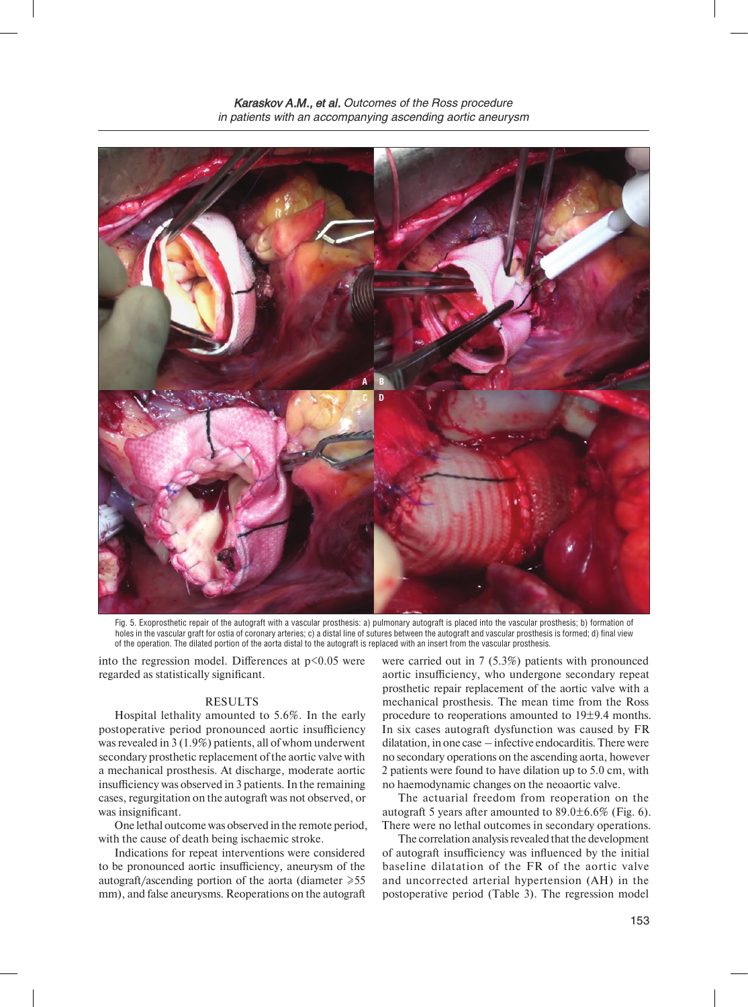

Fig. 5. Exoprosthetic repair of the autograft with a vascular prosthesis: a) pulmonary autograft is placed into the vascular prosthesis; b) formation of holes in the vascular graft for ostia of coronary arteries; c) a distal line of sutures between the autograft and vascular prosthesis is formed; d) final view of the operation. The dilated portion of the aorta distal to the autograft is replaced with an insert from the vascular prosthesis.

into the regression model. Differences at  $p<0.05$  were regarded as statistically significant.

## RESULTS

Hospital lethality amounted to 5.6%. In the early postoperative period pronounced aortic insufficiency was revealed in 3 (1.9%) patients, all of whom underwent secondary prosthetic replacement of the aortic valve with a mechanical prosthesis. At discharge, moderate aortic insufficiency was observed in 3 patients. In the remaining cases, regurgitation on the autograft was not observed, or was insignificant.

One lethal outcome was observed in the remote period, with the cause of death being ischaemic stroke.

Indications for repeat interventions were considered to be pronounced aortic insufficiency, aneurysm of the autograft/ascending portion of the aorta (diameter  $\ge 55$ mm), and false aneurysms. Reoperations on the autograft

were carried out in 7 (5.3%) patients with pronounced aortic insufficiency, who undergone secondary repeat prosthetic repair replacement of the aortic valve with a mechanical prosthesis. The mean time from the Ross procedure to reoperations amounted to 19±9.4 months. In six cases autograft dysfunction was caused by FR dilatation, in one case – infective endocarditis. There were no secondary operations on the ascending aorta, however 2 patients were found to have dilation up to 5.0 cm, with no haemodynamic changes on the neoaortic valve.

The actuarial freedom from reoperation on the autograft 5 years after amounted to  $89.0 \pm 6.6\%$  (Fig. 6). There were no lethal outcomes in secondary operations.

The correlation analysis revealed that the development of autograft insufficiency was influenced by the initial baseline dilatation of the FR of the aortic valve and uncorrected arterial hypertension (AH) in the postoperative period (Table 3). The regression model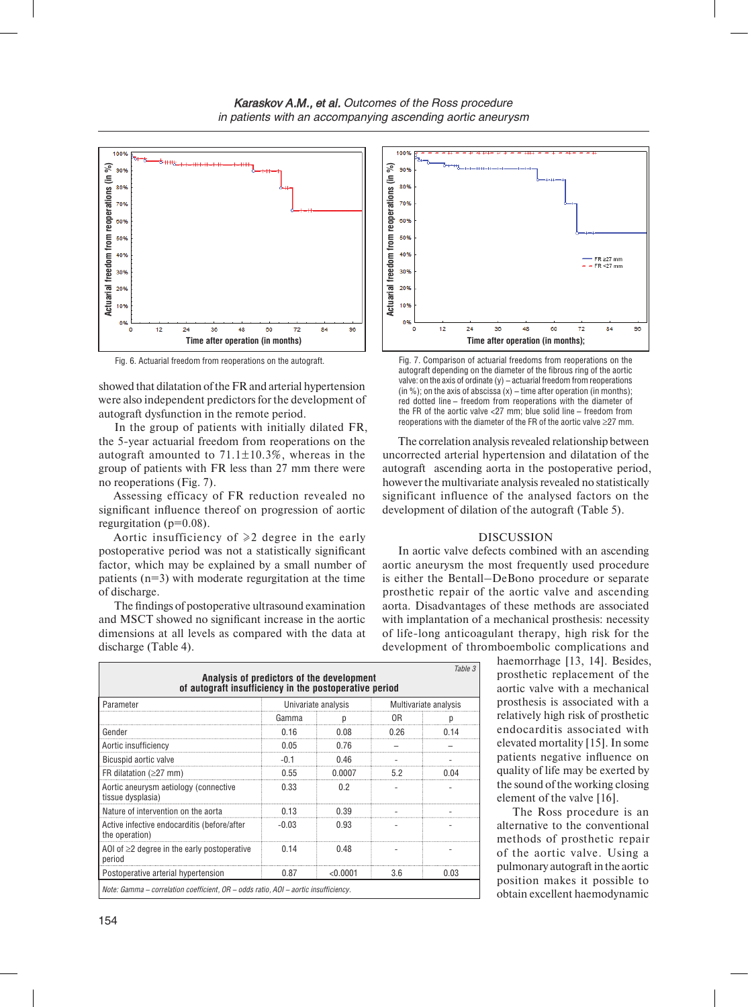

showed that dilatation of the FR and arterial hypertension were also independent predictors for the development of autograft dysfunction in the remote period.

In the group of patients with initially dilated FR, the 5-year actuarial freedom from reoperations on the autograft amounted to  $71.1 \pm 10.3\%$ , whereas in the group of patients with FR less than 27 mm there were no reoperations (Fig. 7).

Assessing efficacy of FR reduction revealed no significant influence thereof on progression of aortic regurgitation ( $p=0.08$ ).

Aortic insufficiency of  $\geq 2$  degree in the early postoperative period was not a statistically significant factor, which may be explained by a small number of patients  $(n=3)$  with moderate regurgitation at the time of discharge.

The findings of postoperative ultrasound examination and MSCT showed no significant increase in the aortic dimensions at all levels as compared with the data at discharge (Table 4).

| Table 3<br>Analysis of predictors of the development<br>of autograft insufficiency in the postoperative period |                     |          |                       |      |  |  |
|----------------------------------------------------------------------------------------------------------------|---------------------|----------|-----------------------|------|--|--|
| Parameter                                                                                                      | Univariate analysis |          | Multivariate analysis |      |  |  |
|                                                                                                                | Gamma               | р        | 0R                    |      |  |  |
| Gender                                                                                                         | 0.16                | 0.08     | በ 26                  | በ 14 |  |  |
| Aortic insufficiency                                                                                           | 0.05                | 0.76     |                       |      |  |  |
| Bicuspid aortic valve                                                                                          | -0.1                | በ 46     |                       |      |  |  |
| FR dilatation ( $\geq$ 27 mm)                                                                                  | 0.55                | 0.0007   | 52                    |      |  |  |
| Aortic aneurysm aetiology (connective<br>tissue dysplasia)                                                     | 0.33                | 0.2      |                       |      |  |  |
| Nature of intervention on the aorta                                                                            | በ 13                | በ 39     |                       |      |  |  |
| Active infective endocarditis (before/after<br>the operation)                                                  | -0.03               | 0.93     |                       |      |  |  |
| AOI of $\geq$ 2 degree in the early postoperative<br>period                                                    | 0.14                | በ 48     |                       |      |  |  |
| Postoperative arterial hypertension                                                                            | 0.87                | < 0.0001 | 36                    | 0.03 |  |  |
| Note: Gamma – correlation coefficient, $OR - odds$ ratio, $AOI - aortic$ insufficiency.                        |                     |          |                       |      |  |  |



autograft depending on the diameter of the fibrous ring of the aortic valve: on the axis of ordinate (y) – actuarial freedom from reoperations (in %); on the axis of abscissa  $(x)$  – time after operation (in months); red dotted line – freedom from reoperations with the diameter of the FR of the aortic valve <27 mm; blue solid line – freedom from reoperations with the diameter of the FR of the aortic valve ≥27 mm.

The correlation analysis revealed relationship between uncorrected arterial hypertension and dilatation of the autograft ascending aorta in the postoperative period, however the multivariate analysis revealed no statistically significant influence of the analysed factors on the development of dilation of the autograft (Table 5).

#### DISCUSSION

In aortic valve defects combined with an ascending aortic aneurysm the most frequently used procedure is either the Bentall–DeBono procedure or separate prosthetic repair of the aortic valve and ascending aorta. Disadvantages of these methods are associated with implantation of a mechanical prosthesis: necessity of life-long anticoagulant therapy, high risk for the development of thromboembolic complications and

> haemorrhage [13, 14]. Besides, prosthetic replacement of the aortic valve with a mechanical prosthesis is associated with a relatively high risk of prosthetic endocarditis associated with elevated mortality [15]. In some patients negative influence on quality of life may be exerted by the sound of the working closing element of the valve [16].

> The Ross procedure is an alternative to the conventional methods of prosthetic repair of the aortic valve. Using a pulmonary autograft in the aortic position makes it possible to obtain excellent haemodynamic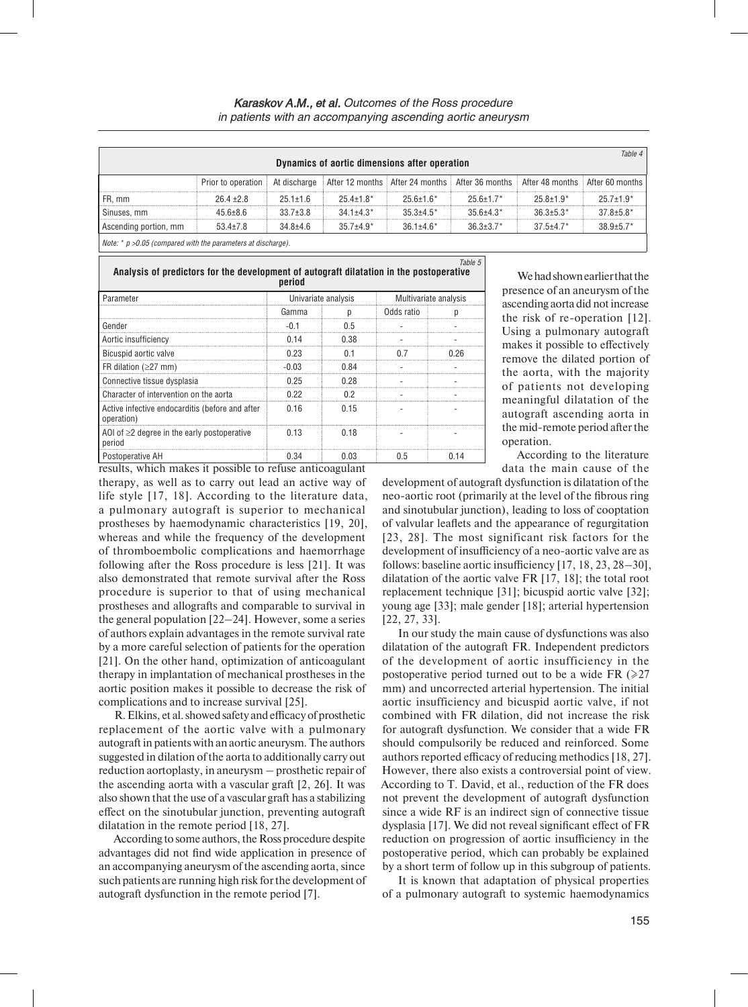| Table 4<br>Dynamics of aortic dimensions after operation       |                    |                |               |                  |                                                                                 |               |                  |
|----------------------------------------------------------------|--------------------|----------------|---------------|------------------|---------------------------------------------------------------------------------|---------------|------------------|
|                                                                | Prior to operation | At discharge   |               |                  | After 12 months After 24 months After 36 months After 48 months After 60 months |               |                  |
| FR, mm                                                         | $26.4 \pm 2.8$     | $25.1 + 1.6$   | $254+18*$     | $256+16*$        | $256+17*$                                                                       | $25.8 + 1.9*$ | $25.7 \pm 1.9^*$ |
| Sinuses, mm                                                    | $45.6 \pm 8.6$     | $33.7 \pm 3.8$ | $34.1 + 4.3*$ | $35.3 \pm 4.5^*$ | $356+43*$                                                                       | $36.3 + 5.3*$ | $37.8 \pm 5.8^*$ |
| Ascending portion, mm                                          | $53.4 \pm 7.8$     | $34.8 \pm 4.6$ | $357+49*$     | $361+46*$        | $36.3 \pm 3.7$ *                                                                | $37.5 + 4.7*$ | $38.9 \pm 5.7$ * |
| Note: $*$ p >0.05 (compared with the parameters at discharge). |                    |                |               |                  |                                                                                 |               |                  |

*Table 5*  **Analysis of predictors for the development of autograft dilatation in the postoperative period**

| Parameter                                                     | Univariate analysis |      | Multivariate analysis |      |  |  |  |
|---------------------------------------------------------------|---------------------|------|-----------------------|------|--|--|--|
|                                                               | Gamma               |      | Odds ratio            |      |  |  |  |
| Gender                                                        |                     | 05   |                       |      |  |  |  |
| Aortic insufficiency                                          |                     | በ 38 |                       |      |  |  |  |
| Bicuspid aortic valve                                         | በ 23                |      | n 7                   | በ 96 |  |  |  |
| FR dilation ( $\geq$ 27 mm)                                   | -0.03               | በ ጸ4 |                       |      |  |  |  |
| Connective tissue dysplasia                                   | 0.25                | 0.28 |                       |      |  |  |  |
| Character of intervention on the aorta                        | በ 22                | በጋ   |                       |      |  |  |  |
| Active infective endocarditis (before and after<br>operation) | 0.16                | 0.15 |                       |      |  |  |  |
| AOI of $\geq$ 2 degree in the early postoperative<br>period   | 0.13                | 0.18 |                       |      |  |  |  |
| Postoperative AH                                              | በ 34                | በ በ3 | ი 5                   |      |  |  |  |

We had shown earlier that the presence of an aneurysm of the ascending aorta did not increase the risk of re-operation [12]. Using a pulmonary autograft makes it possible to effectively remove the dilated portion of the aorta, with the majority of patients not developing meaningful dilatation of the autograft ascending aorta in the mid-remote period after the operation.

According to the literature data the main cause of the

results, which makes it possible to refuse anticoagulant therapy, as well as to carry out lead an active way of life style [17, 18]. According to the literature data, a pulmonary autograft is superior to mechanical prostheses by haemodynamic characteristics [19, 20], whereas and while the frequency of the development of thromboembolic complications and haemorrhage following after the Ross procedure is less [21]. It was also demonstrated that remote survival after the Ross procedure is superior to that of using mechanical prostheses and allografts and comparable to survival in the general population [22–24]. However, some a series of authors explain advantages in the remote survival rate by a more careful selection of patients for the operation [21]. On the other hand, optimization of anticoagulant therapy in implantation of mechanical prostheses in the aortic position makes it possible to decrease the risk of complications and to increase survival [25].

R. Elkins, et al. showed safety and efficacy of prosthetic replacement of the aortic valve with a pulmonary autograft in patients with an aortic aneurysm. The authors suggested in dilation of the aorta to additionally carry out reduction aortoplasty, in aneurysm – prosthetic repair of the ascending aorta with a vascular graft [2, 26]. It was also shown that the use of a vascular graft has a stabilizing effect on the sinotubular junction, preventing autograft dilatation in the remote period [18, 27].

According to some authors, the Ross procedure despite advantages did not find wide application in presence of an accompanying aneurysm of the ascending aorta, since such patients are running high risk for the development of autograft dysfunction in the remote period [7].

development of autograft dysfunction is dilatation of the neo-aortic root (primarily at the level of the fibrous ring and sinotubular junction), leading to loss of cooptation of valvular leaflets and the appearance of regurgitation [23, 28]. The most significant risk factors for the development of insufficiency of a neo-aortic valve are as follows: baseline aortic insufficiency [17, 18, 23, 28–30], dilatation of the aortic valve FR [17, 18]; the total root replacement technique [31]; bicuspid aortic valve [32]; young age [33]; male gender [18]; arterial hypertension [22, 27, 33].

In our study the main cause of dysfunctions was also dilatation of the autograft FR. Independent predictors of the development of aortic insufficiency in the postoperative period turned out to be a wide FR  $(\geq 27)$ mm) and uncorrected arterial hypertension. The initial aortic insufficiency and bicuspid aortic valve, if not combined with FR dilation, did not increase the risk for autograft dysfunction. We consider that a wide FR should compulsorily be reduced and reinforced. Some authors reported efficacy of reducing methodics [18, 27]. However, there also exists a controversial point of view. According to T. David, et al., reduction of the FR does not prevent the development of autograft dysfunction since a wide RF is an indirect sign of connective tissue dysplasia [17]. We did not reveal significant effect of FR reduction on progression of aortic insufficiency in the postoperative period, which can probably be explained by a short term of follow up in this subgroup of patients.

It is known that adaptation of physical properties of a pulmonary autograft to systemic haemodynamics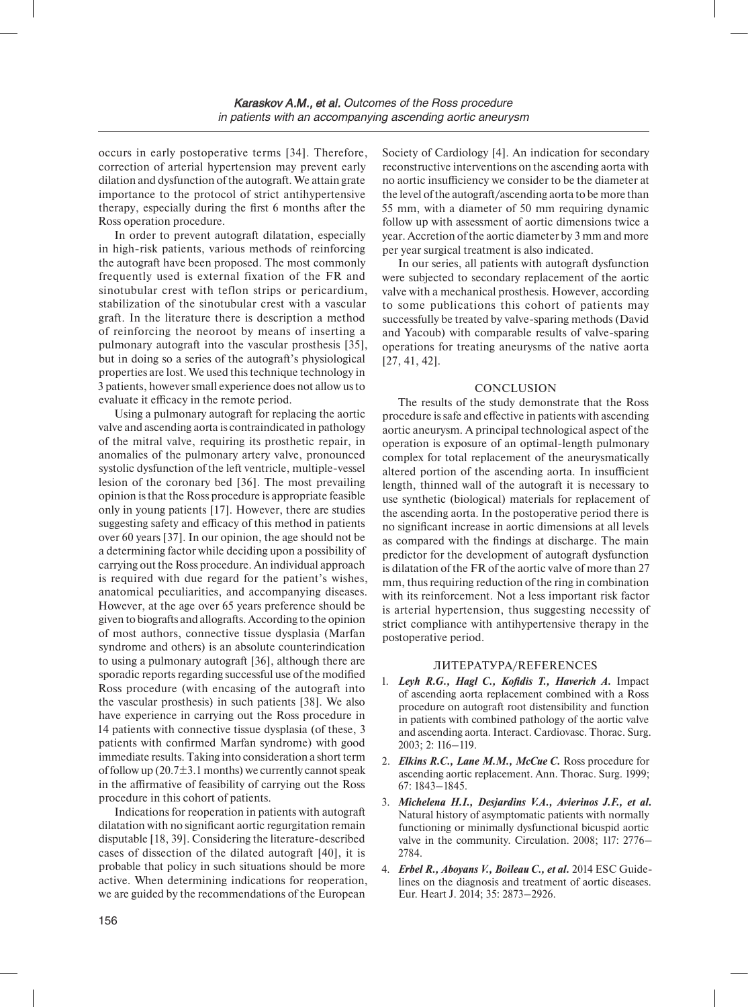occurs in early postoperative terms [34]. Therefore, correction of arterial hypertension may prevent early dilation and dysfunction of the autograft. We attain grate importance to the protocol of strict antihypertensive therapy, especially during the first 6 months after the Ross operation procedure.

In order to prevent autograft dilatation, especially in high-risk patients, various methods of reinforcing the autograft have been proposed. The most commonly frequently used is external fixation of the FR and sinotubular crest with teflon strips or pericardium, stabilization of the sinotubular crest with a vascular graft. In the literature there is description a method of reinforcing the neoroot by means of inserting a pulmonary autograft into the vascular prosthesis [35], but in doing so a series of the autograft's physiological properties are lost. We used this technique technology in 3 patients, however small experience does not allow us to evaluate it efficacy in the remote period.

Using a pulmonary autograft for replacing the aortic valve and ascending aorta is contraindicated in pathology of the mitral valve, requiring its prosthetic repair, in anomalies of the pulmonary artery valve, pronounced systolic dysfunction of the left ventricle, multiple-vessel lesion of the coronary bed [36]. The most prevailing opinion is that the Ross procedure is appropriate feasible only in young patients [17]. However, there are studies suggesting safety and efficacy of this method in patients over 60 years [37]. In our opinion, the age should not be a determining factor while deciding upon a possibility of carrying out the Ross procedure. An individual approach is required with due regard for the patient's wishes, anatomical peculiarities, and accompanying diseases. However, at the age over 65 years preference should be given to biografts and allografts. According to the opinion of most authors, connective tissue dysplasia (Marfan syndrome and others) is an absolute counterindication to using a pulmonary autograft [36], although there are sporadic reports regarding successful use of the modified Ross procedure (with encasing of the autograft into the vascular prosthesis) in such patients [38]. We also have experience in carrying out the Ross procedure in 14 patients with connective tissue dysplasia (of these, 3 patients with confirmed Marfan syndrome) with good immediate results. Taking into consideration a short term of follow up  $(20.7\pm3.1 \text{ months})$  we currently cannot speak in the affirmative of feasibility of carrying out the Ross procedure in this cohort of patients.

Indications for reoperation in patients with autograft dilatation with no significant aortic regurgitation remain disputable [18, 39]. Considering the literature-described cases of dissection of the dilated autograft [40], it is probable that policy in such situations should be more active. When determining indications for reoperation, we are guided by the recommendations of the European

Society of Cardiology [4]. An indication for secondary reconstructive interventions on the ascending aorta with no aortic insufficiency we consider to be the diameter at the level of the autograft/ascending aorta to be more than 55 mm, with a diameter of 50 mm requiring dynamic follow up with assessment of aortic dimensions twice a year. Accretion of the aortic diameter by 3 mm and more per year surgical treatment is also indicated.

In our series, all patients with autograft dysfunction were subjected to secondary replacement of the aortic valve with a mechanical prosthesis. However, according to some publications this cohort of patients may successfully be treated by valve-sparing methods (David and Yacoub) with comparable results of valve-sparing operations for treating aneurysms of the native aorta [27, 41, 42].

# **CONCLUSION**

The results of the study demonstrate that the Ross procedure is safe and effective in patients with ascending aortic aneurysm. A principal technological aspect of the operation is exposure of an optimal-length pulmonary complex for total replacement of the aneurysmatically altered portion of the ascending aorta. In insufficient length, thinned wall of the autograft it is necessary to use synthetic (biological) materials for replacement of the ascending aorta. In the postoperative period there is no significant increase in aortic dimensions at all levels as compared with the findings at discharge. The main predictor for the development of autograft dysfunction is dilatation of the FR of the aortic valve of more than 27 mm, thus requiring reduction of the ring in combination with its reinforcement. Not a less important risk factor is arterial hypertension, thus suggesting necessity of strict compliance with antihypertensive therapy in the postoperative period.

## ЛИТЕРАТУРА/REFERENCES

- 1. *Leyh R.G., Hagl C., Kofidis T., Haverich A.* Impact of ascending aorta replacement combined with a Ross procedure on autograft root distensibility and function in patients with combined pathology of the aortic valve and ascending aorta. Interact. Cardiovasc. Thorac. Surg. 2003; 2: 116–119.
- 2. *Elkins R.C., Lane M.M., McCue C.* Ross procedure for ascending aortic replacement. Ann. Thorac. Surg. 1999; 67: 1843–1845.
- 3. *Michelena H.I., Desjardins V.A., Avierinos J.F., et al.*  Natural history of asymptomatic patients with normally functioning or minimally dysfunctional bicuspid aortic valve in the community. Circulation. 2008; 117: 2776– 2784.
- 4. *Erbel R., Aboyans V., Boileau C., et al.* 2014 ESC Guidelines on the diagnosis and treatment of aortic diseases. Eur. Heart J. 2014; 35: 2873–2926.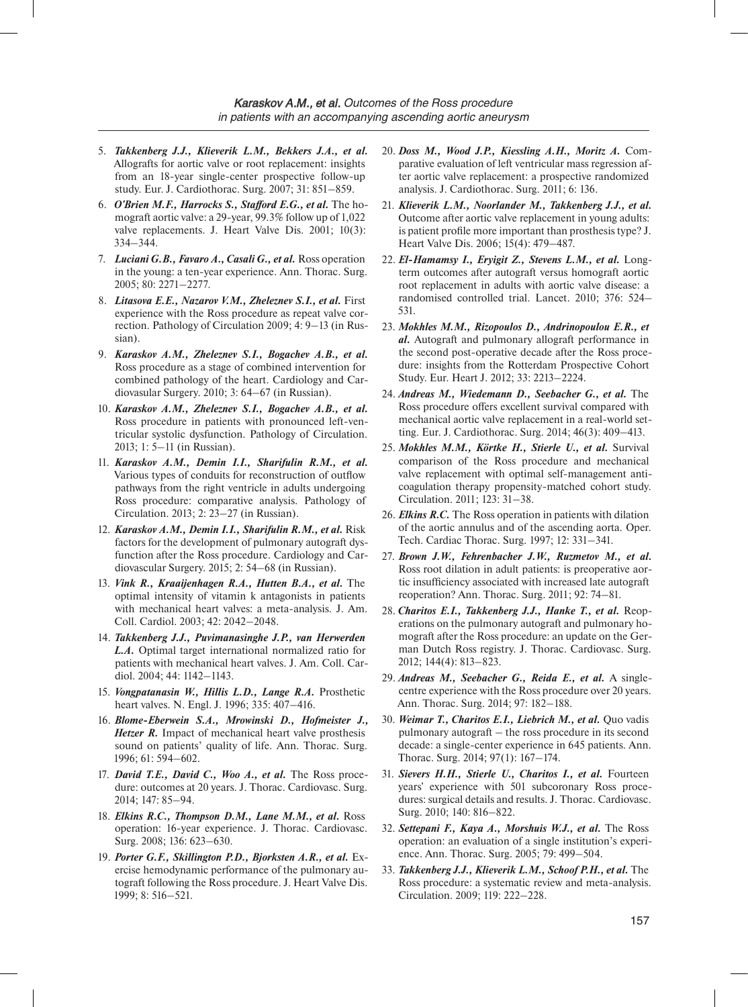- 5. *Takkenberg J.J., Klieverik L.M., Bekkers J.A., et al.* Allografts for aortic valve or root replacement: insights from an 18-year single-center prospective follow-up study. Eur. J. Cardiothorac. Surg. 2007; 31: 851–859.
- 6. *O'Brien M.F., Harrocks S., Stafford E.G., et al.* The homograft aortic valve: a 29-year, 99.3% follow up of 1,022 valve replacements. J. Heart Valve Dis. 2001; 10(3): 334–344.
- 7. *Luciani G.B., Favaro A., Casali G., et al.* Ross operation in the young: a ten-year experience. Ann. Thorac. Surg. 2005; 80: 2271–2277.
- 8. Litasova E.E., Nazarov V.M., Zheleznev S.I., et al. First experience with the Ross procedure as repeat valve correction. Pathology of Circulation 2009; 4: 9–13 (in Russian).
- 9. *Karaskov A.M., Zheleznev S.I., Bogachev A.B., et al.*  Ross procedure as a stage of combined intervention for combined pathology of the heart. Cardiology and Cardiovasular Surgery. 2010; 3: 64–67 (in Russian).
- 10. *Karaskov A.M., Zheleznev S.I., Bogachev A.B., et al.*  Ross procedure in patients with pronounced left-ventricular systolic dysfunction. Pathology of Circulation. 2013; 1: 5–11 (in Russian).
- 11. *Karaskov A.M., Demin I.I., Sharifulin R.M., et al.*  Various types of conduits for reconstruction of outflow pathways from the right ventricle in adults undergoing Ross procedure: comparative analysis. Pathology of Circulation. 2013; 2: 23–27 (in Russian).
- 12. *Karaskov A.M., Demin I.I., Sharifulin R.M., et al.* Risk factors for the development of pulmonary autograft dysfunction after the Ross procedure. Cardiology and Cardiovascular Surgery. 2015; 2: 54–68 (in Russian).
- 13. *Vink R., Kraaijenhagen R.A., Hutten B.A., et al.* The optimal intensity of vitamin k antagonists in patients with mechanical heart valves: a meta-analysis. J. Am. Coll. Cardiol. 2003; 42: 2042–2048.
- 14. *Takkenberg J.J., Puvimanasinghe J.P., van Herwerden L.A.* Optimal target international normalized ratio for patients with mechanical heart valves. J. Am. Coll. Cardiol. 2004; 44: 1142–1143.
- 15. *Vongpatanasin W., Hillis L.D., Lange R.A.* Prosthetic heart valves. N. Engl. J. 1996; 335: 407–416.
- 16. *Blome-Eberwein S.A., Mrowinski D., Hofmeister J., Hetzer R.* Impact of mechanical heart valve prosthesis sound on patients' quality of life. Ann. Thorac. Surg. 1996; 61: 594–602.
- 17. *David T.E., David C., Woo A., et al.* The Ross procedure: outcomes at 20 years. J. Thorac. Cardiovasc. Surg. 2014; 147: 85–94.
- 18. *Elkins R.C., Thompson D.M., Lane M.M., et al.* Ross operation: 16-year experience. J. Thorac. Cardiovasc. Surg. 2008; 136: 623–630.
- 19. *Porter G.F., Skillington P.D., Bjorksten A.R., et al.* Exercise hemodynamic performance of the pulmonary autograft following the Ross procedure. J. Heart Valve Dis. 1999; 8: 516–521.
- 20. *Doss M., Wood J.P., Kiessling A.H., Moritz A.* Comparative evaluation of left ventricular mass regression after aortic valve replacement: a prospective randomized analysis. J. Cardiothorac. Surg. 2011; 6: 136.
- 21. *Klieverik L.M., Noorlander M., Takkenberg J.J., et al.*  Outcome after aortic valve replacement in young adults: is patient profile more important than prosthesis type? J. Heart Valve Dis. 2006; 15(4): 479–487.
- 22. *El-Hamamsy I., Eryigit Z., Stevens L.M., et al.* Longterm outcomes after autograft versus homograft aortic root replacement in adults with aortic valve disease: a randomised controlled trial. Lancet. 2010; 376: 524– 531.
- 23. *Mokhles M.M., Rizopoulos D., Andrinopoulou E.R., et al.* Autograft and pulmonary allograft performance in the second post-operative decade after the Ross procedure: insights from the Rotterdam Prospective Cohort Study. Eur. Heart J. 2012; 33: 2213–2224.
- 24. *Andreas M., Wiedemann D., Seebacher G., et al.* The Ross procedure offers excellent survival compared with mechanical aortic valve replacement in a real-world setting. Eur. J. Cardiothorac. Surg. 2014; 46(3): 409–413.
- 25. *Mokhles M.M., Körtke H., Stierle U., et al.* Survival comparison of the Ross procedure and mechanical valve replacement with optimal self-management anticoagulation therapy propensity-matched cohort study. Circulation. 2011; 123: 31–38.
- 26. *Elkins R.C.* The Ross operation in patients with dilation of the aortic annulus and of the ascending aorta. Oper. Tech. Cardiac Thorac. Surg. 1997; 12: 331–341.
- 27. *Brown J.W., Fehrenbacher J.W., Ruzmetov M., et al.*  Ross root dilation in adult patients: is preoperative aortic insufficiency associated with increased late autograft reoperation? Ann. Thorac. Surg. 2011; 92: 74–81.
- 28. *Charitos E.I., Takkenberg J.J., Hanke T., et al.* Reoperations on the pulmonary autograft and pulmonary homograft after the Ross procedure: an update on the German Dutch Ross registry. J. Thorac. Cardiovasc. Surg. 2012; 144(4): 813–823.
- 29. *Andreas M., Seebacher G., Reida E., et al.* A singlecentre experience with the Ross procedure over 20 years. Ann. Thorac. Surg. 2014; 97: 182–188.
- 30. *Weimar T., Charitos E.I., Liebrich M., et al.* Quo vadis pulmonary autograft – the ross procedure in its second decade: a single-center experience in 645 patients. Ann. Thorac. Surg. 2014; 97(1): 167–174.
- 31. Sievers H.H., Stierle U., Charitos I., et al. Fourteen years' experience with 501 subcoronary Ross procedures: surgical details and results. J. Thorac. Cardiovasc. Surg. 2010; 140: 816–822.
- 32. *Settepani F., Kaya A., Morshuis W.J., et al.* The Ross operation: an evaluation of a single institution's experience. Ann. Thorac. Surg. 2005; 79: 499–504.
- 33. *Takkenberg J.J., Klieverik L.M., Schoof P.H., et al.* The Ross procedure: a systematic review and meta-analysis. Circulation. 2009; 119: 222–228.